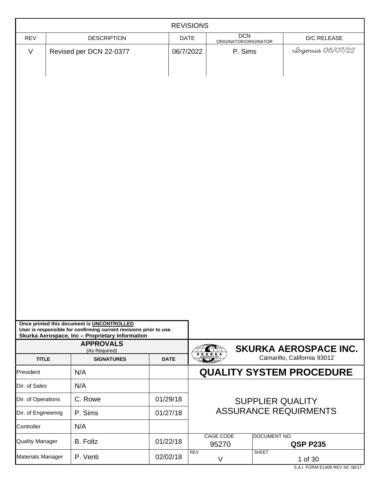| <b>REVISIONS</b>         |                                                                                                                                                                                                          |             |                                  |                                     |                         |                                 |
|--------------------------|----------------------------------------------------------------------------------------------------------------------------------------------------------------------------------------------------------|-------------|----------------------------------|-------------------------------------|-------------------------|---------------------------------|
| <b>REV</b>               | <b>DESCRIPTION</b>                                                                                                                                                                                       | DATE        |                                  | <b>DCN</b><br>ORIGINATOR/ORIGINATOR |                         | D/C RELEASE                     |
| $\vee$                   | Revised per DCN 22-0377                                                                                                                                                                                  | 06/7/2022   |                                  | P. Sims                             |                         | Lingenuus 06/07/22              |
|                          | Once printed this document is UNCONTROLLED<br>User is responsible for confirming current revisions prior to use.<br>Skurka Aerospace, Inc - Proprietary Information<br><b>APPROVALS</b><br>(As Required) |             |                                  |                                     |                         | <b>SKURKA AEROSPACE INC.</b>    |
| <b>TITLE</b>             | <b>SIGNATURES</b>                                                                                                                                                                                        | <b>DATE</b> | $S$ <sub>AEROSPACE INC</sub> $A$ |                                     |                         | Camarillo, California 93012     |
| President                | N/A                                                                                                                                                                                                      |             |                                  |                                     |                         | <b>QUALITY SYSTEM PROCEDURE</b> |
| Dir. of Sales            | N/A                                                                                                                                                                                                      |             |                                  |                                     |                         |                                 |
| Dir. of Operations       | C. Rowe                                                                                                                                                                                                  | 01/29/18    |                                  |                                     | <b>SUPPLIER QUALITY</b> |                                 |
| Dir. of Engineering      | P. Sims                                                                                                                                                                                                  | 01/27/18    |                                  |                                     |                         | <b>ASSURANCE REQUIRMENTS</b>    |
| Controller               | N/A                                                                                                                                                                                                      |             |                                  |                                     |                         |                                 |
| <b>Quality Manager</b>   | <b>B.</b> Foltz                                                                                                                                                                                          | 01/22/18    |                                  | <b>CAGE CODE</b><br>95270           | DOCUMENT NO.            | <b>QSP P235</b>                 |
| <b>Materials Manager</b> | P. Venti                                                                                                                                                                                                 | 02/02/18    | <b>REV</b>                       | V                                   | <b>SHEET</b>            | 1 of 30                         |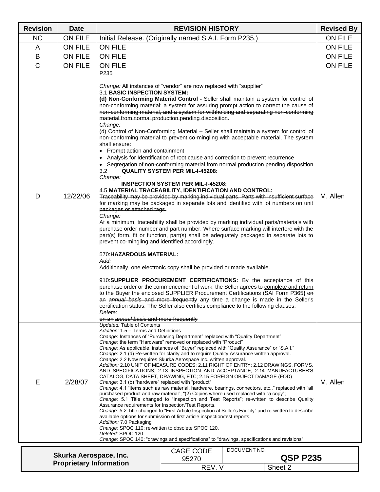| <b>Revision</b> | <b>Date</b>                                              |                                                                                                                                                                                                                                                                                                                                                                                                                                                                                                                                                                                                                                                                                                                                                                                                                                                                                                                                                                                                                                                                                                                                                                                                                                                                                                                                                                                                                                                                                                                                                                                                                                                                                                                                                                                                                                                                                                                                                                                                                                                                                                                                            | <b>REVISION HISTORY</b>                                                                     |              |                 | <b>Revised By</b> |
|-----------------|----------------------------------------------------------|--------------------------------------------------------------------------------------------------------------------------------------------------------------------------------------------------------------------------------------------------------------------------------------------------------------------------------------------------------------------------------------------------------------------------------------------------------------------------------------------------------------------------------------------------------------------------------------------------------------------------------------------------------------------------------------------------------------------------------------------------------------------------------------------------------------------------------------------------------------------------------------------------------------------------------------------------------------------------------------------------------------------------------------------------------------------------------------------------------------------------------------------------------------------------------------------------------------------------------------------------------------------------------------------------------------------------------------------------------------------------------------------------------------------------------------------------------------------------------------------------------------------------------------------------------------------------------------------------------------------------------------------------------------------------------------------------------------------------------------------------------------------------------------------------------------------------------------------------------------------------------------------------------------------------------------------------------------------------------------------------------------------------------------------------------------------------------------------------------------------------------------------|---------------------------------------------------------------------------------------------|--------------|-----------------|-------------------|
| <b>NC</b>       | <b>ON FILE</b>                                           |                                                                                                                                                                                                                                                                                                                                                                                                                                                                                                                                                                                                                                                                                                                                                                                                                                                                                                                                                                                                                                                                                                                                                                                                                                                                                                                                                                                                                                                                                                                                                                                                                                                                                                                                                                                                                                                                                                                                                                                                                                                                                                                                            | Initial Release. (Originally named S.A.I. Form P235.)                                       |              | <b>ON FILE</b>  |                   |
| A               | <b>ON FILE</b>                                           | <b>ON FILE</b>                                                                                                                                                                                                                                                                                                                                                                                                                                                                                                                                                                                                                                                                                                                                                                                                                                                                                                                                                                                                                                                                                                                                                                                                                                                                                                                                                                                                                                                                                                                                                                                                                                                                                                                                                                                                                                                                                                                                                                                                                                                                                                                             |                                                                                             |              |                 | <b>ON FILE</b>    |
| B               | <b>ON FILE</b>                                           | <b>ON FILE</b>                                                                                                                                                                                                                                                                                                                                                                                                                                                                                                                                                                                                                                                                                                                                                                                                                                                                                                                                                                                                                                                                                                                                                                                                                                                                                                                                                                                                                                                                                                                                                                                                                                                                                                                                                                                                                                                                                                                                                                                                                                                                                                                             |                                                                                             |              |                 | <b>ON FILE</b>    |
| $\mathsf{C}$    | ON FILE                                                  | <b>ON FILE</b>                                                                                                                                                                                                                                                                                                                                                                                                                                                                                                                                                                                                                                                                                                                                                                                                                                                                                                                                                                                                                                                                                                                                                                                                                                                                                                                                                                                                                                                                                                                                                                                                                                                                                                                                                                                                                                                                                                                                                                                                                                                                                                                             |                                                                                             |              |                 | <b>ON FILE</b>    |
| D               | 12/22/06                                                 | P235<br>Change: All instances of "vendor" are now replaced with "supplier"<br>3.1 BASIC INSPECTION SYSTEM:<br>(d) Non-Conforming Material Control - Seller shall maintain a system for control of<br>non-conforming material; a system for assuring prompt action to correct the cause of<br>non-conforming material, and a system for withholding and separating non-conforming<br>material from normal production pending disposition.<br>Change:<br>(d) Control of Non-Conforming Material - Seller shall maintain a system for control of<br>non-conforming material to prevent co-mingling with acceptable material. The system<br>shall ensure:<br>• Prompt action and containment<br>• Analysis for Identification of root cause and correction to prevent recurrence<br>• Segregation of non-conforming material from normal production pending disposition<br>3.2<br>Change:<br>4.5 MATERIAL TRACEABILITY, IDENTIFICATION AND CONTROL:<br>Traceability may be provided by marking individual parts. Parts with insufficient surface<br>for marking may be packaged in separate lots and identified with lot numbers on unit<br>packages or attached tags.<br>Change:<br>At a minimum, traceability shall be provided by marking individual parts/materials with<br>purchase order number and part number. Where surface marking will interfere with the<br>part(s) form, fit or function, part(s) shall be adequately packaged in separate lots to<br>prevent co-mingling and identified accordingly.<br>570: HAZARDOUS MATERIAL:<br>Add:<br>Additionally, one electronic copy shall be provided or made available.<br>910:SUPPLIER PROCUREMENT CERTIFICATIONS: By the acceptance of this<br>purchase order or the commencement of work, the Seller agrees to complete and return<br>to the Buyer the enclosed SUPPLIER Procurement Certifications (SAI Form P365) on<br>an annual basis and more frequently any time a change is made in the Seller's<br>certification status. The Seller also certifies compliance to the following clauses:<br>Delete:<br>on an annual basis and more frequently<br>Updated: Table of Contents | <b>QUALITY SYSTEM PER MIL-I-45208:</b><br><b>INSPECTION SYSTEM PER MIL-I-45208:</b>         |              |                 | M. Allen          |
| E               | 2/28/07                                                  | Addition: 1.5 - Terms and Definitions<br>Change: Instances of "Purchasing Department" replaced with "Quality Department"<br>Change: the term "Hardware" removed or replaced with "Product"<br>Change: As applicable, instances of "Buyer" replaced with "Quality Assurance" or "S.A.I."<br>Change: 2.1 (d) Re-written for clarity and to require Quality Assurance written approval.<br>Change: 2.2 Now requires Skurka Aerospace Inc. written approval.<br>Addition: 2.10 UNIT OF MEASURE CODES; 2.11 RIGHT OF ENTRY; 2.12 DRAWINGS, FORMS,<br>AND SPECIFICATIONS; 2.13 INSPECTION AND ACCEPTANCE; 2.14 MANUFACTURER'S<br>CATALOG, DATA SHEET, DRAWING, ETC; 2.15 FOREIGN OBJECT DAMAGE (FOD)<br>Change: 3.1 (b) "hardware" replaced with "product"<br>Change: 4.1 "items such as raw material, hardware, bearings, connectors, etc.," replaced with "all<br>purchased product and raw material"; "(2) Copies where used replaced with "a copy";<br>Change: 5.1 Title changed to "Inspection and Test Reports"; re-written to describe Quality<br>Assurance requirements for Inspection/Test Reports.<br>Change: 5.2 Title changed to "First Article Inspection at Seller's Facility" and re-written to describe<br>available options for submission of first article inspection/test reports.<br>Addition: 7.0 Packaging<br>Change: SPOC 110: re-written to obsolete SPOC 120.<br>Deleted: SPOC 120                                                                                                                                                                                                                                                                                                                                                                                                                                                                                                                                                                                                                                                                                                                                      | Change: SPOC 140: "drawings and specifications" to "drawings, specifications and revisions" |              |                 | M. Allen          |
|                 |                                                          |                                                                                                                                                                                                                                                                                                                                                                                                                                                                                                                                                                                                                                                                                                                                                                                                                                                                                                                                                                                                                                                                                                                                                                                                                                                                                                                                                                                                                                                                                                                                                                                                                                                                                                                                                                                                                                                                                                                                                                                                                                                                                                                                            | CAGE CODE                                                                                   | DOCUMENT NO. |                 |                   |
|                 | Skurka Aerospace, Inc.<br><b>Proprietary Information</b> |                                                                                                                                                                                                                                                                                                                                                                                                                                                                                                                                                                                                                                                                                                                                                                                                                                                                                                                                                                                                                                                                                                                                                                                                                                                                                                                                                                                                                                                                                                                                                                                                                                                                                                                                                                                                                                                                                                                                                                                                                                                                                                                                            | 95270                                                                                       |              | <b>QSP P235</b> |                   |
|                 |                                                          |                                                                                                                                                                                                                                                                                                                                                                                                                                                                                                                                                                                                                                                                                                                                                                                                                                                                                                                                                                                                                                                                                                                                                                                                                                                                                                                                                                                                                                                                                                                                                                                                                                                                                                                                                                                                                                                                                                                                                                                                                                                                                                                                            | REV. V                                                                                      |              | Sheet 2         |                   |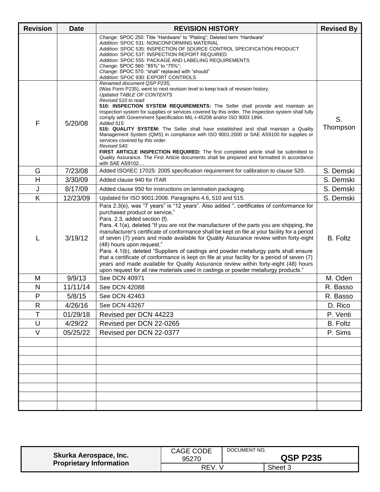| <b>Revision</b> | <b>Date</b> | <b>REVISION HISTORY</b>                                                                                                                                                                                                                                                                                                                                                                                                                                                                                                                                                                                                                                                                                                                                                                                                                                                                                  | <b>Revised By</b> |
|-----------------|-------------|----------------------------------------------------------------------------------------------------------------------------------------------------------------------------------------------------------------------------------------------------------------------------------------------------------------------------------------------------------------------------------------------------------------------------------------------------------------------------------------------------------------------------------------------------------------------------------------------------------------------------------------------------------------------------------------------------------------------------------------------------------------------------------------------------------------------------------------------------------------------------------------------------------|-------------------|
|                 |             | Change: SPOC 250: Title "Hardware" to "Plating"; Deleted term "Hardware"<br>Addition: SPOC 531: NONCONFORMING MATERIAL<br>Addition: SPOC 535: INSPECTION OF SOURCE CONTROL SPECIFICATION PRODUCT<br>Addition: SPOC 537: INSPECTION REPORT REQUIRED<br>Addition: SPOC 555: PACKAGE AND LABELING REQUIREMENTS<br>Change: SPOC 560: "85%" to "75%";<br>Change: SPOC 570: "shall" replaced with "should"<br>Addition: SPOC 930: EXPORT CONTROLS                                                                                                                                                                                                                                                                                                                                                                                                                                                              |                   |
| F               | 5/20/08     | Renamed document QSP P235;<br>(Was Form P235), went to next revision level to keep track of revision history.<br><b>Updated TABLE OF CONTENTS</b><br>Revised 510 to read:<br>510: INSPECTION SYSTEM REQUIREMENTS: The Seller shall provide and maintain an<br>inspection system for supplies or services covered by this order. The inspection system shall fully<br>comply with Government Specification MIL-I-45208 and/or ISO 9003 1994.<br>Added 515:<br>515: QUALITY SYSTEM: The Seller shall have established and shall maintain a Quality<br>Management System (QMS) in compliance with ISO 9001:2000 or SAE AS9100 for supplies or<br>services covered by this order.<br>Revised 540:<br>FIRST ARTICLE INSPECTION REQUIRED: The first completed article shall be submitted to<br>Quality Assurance. The First Article documents shall be prepared and formatted in accordance<br>with SAE AS9102 | S.<br>Thompson    |
| G               | 7/23/08     | Added ISO/IEC 17025: 2005 specification requirement for calibration to clause 520.                                                                                                                                                                                                                                                                                                                                                                                                                                                                                                                                                                                                                                                                                                                                                                                                                       | S. Demski         |
| H               | 3/30/09     | Added clause 940 for ITAR                                                                                                                                                                                                                                                                                                                                                                                                                                                                                                                                                                                                                                                                                                                                                                                                                                                                                | S. Demski         |
| J               | 8/17/09     | Added clause 950 for instructions on lamination packaging                                                                                                                                                                                                                                                                                                                                                                                                                                                                                                                                                                                                                                                                                                                                                                                                                                                | S. Demski         |
| Κ               | 12/23/09    | Updated for ISO 9001:2008. Paragraphs 4.6, 510 and 515.                                                                                                                                                                                                                                                                                                                                                                                                                                                                                                                                                                                                                                                                                                                                                                                                                                                  | S. Demski         |
| L               | 3/19/12     | Para 2.3(e), was "7 years" is "12 years". Also added ", certificates of conformance for<br>purchased product or service,"<br>Para. 2.3, added section (f).<br>Para. 4.1(a), deleted "If you are not the manufacturer of the parts you are shipping, the<br>manufacturer's certificate of conformance shall be kept on file at your facility for a period<br>of seven (7) years and made available for Quality Assurance review within forty-eight<br>(48) hours upon request."<br>Para. 4.1(b), deleted "Suppliers of castings and powder metallurgy parts shall ensure<br>that a certificate of conformance is kept on file at your facility for a period of seven (7)<br>years and made available for Quality Assurance review within forty-eight (48) hours<br>upon request for all raw materials used in castings or powder metallurgy products."                                                    | <b>B.</b> Foltz   |
| M               | 9/9/13      | See DCN 40971                                                                                                                                                                                                                                                                                                                                                                                                                                                                                                                                                                                                                                                                                                                                                                                                                                                                                            | M. Oden           |
| N               | 11/11/14    | See DCN 42088                                                                                                                                                                                                                                                                                                                                                                                                                                                                                                                                                                                                                                                                                                                                                                                                                                                                                            | R. Basso          |
| P               | 5/8/15      | See DCN 42463                                                                                                                                                                                                                                                                                                                                                                                                                                                                                                                                                                                                                                                                                                                                                                                                                                                                                            | R. Basso          |
| R               | 4/26/16     | See DCN 43267                                                                                                                                                                                                                                                                                                                                                                                                                                                                                                                                                                                                                                                                                                                                                                                                                                                                                            | D. Rico           |
| Τ               | 01/29/18    | Revised per DCN 44223                                                                                                                                                                                                                                                                                                                                                                                                                                                                                                                                                                                                                                                                                                                                                                                                                                                                                    | P. Venti          |
| $\sf U$         | 4/29/22     | Revised per DCN 22-0265                                                                                                                                                                                                                                                                                                                                                                                                                                                                                                                                                                                                                                                                                                                                                                                                                                                                                  | <b>B.</b> Foltz   |
| $\vee$          | 05/25/22    | Revised per DCN 22-0377                                                                                                                                                                                                                                                                                                                                                                                                                                                                                                                                                                                                                                                                                                                                                                                                                                                                                  | P. Sims           |
|                 |             |                                                                                                                                                                                                                                                                                                                                                                                                                                                                                                                                                                                                                                                                                                                                                                                                                                                                                                          |                   |
|                 |             |                                                                                                                                                                                                                                                                                                                                                                                                                                                                                                                                                                                                                                                                                                                                                                                                                                                                                                          |                   |

| Skurka Aerospace, Inc.         | <b>CAGE CODE</b><br>95270 | DOCUMENT NO. | <b>QSP P235</b> |
|--------------------------------|---------------------------|--------------|-----------------|
| <b>Proprietary Information</b> | <b>REV</b>                |              | Sheet 3         |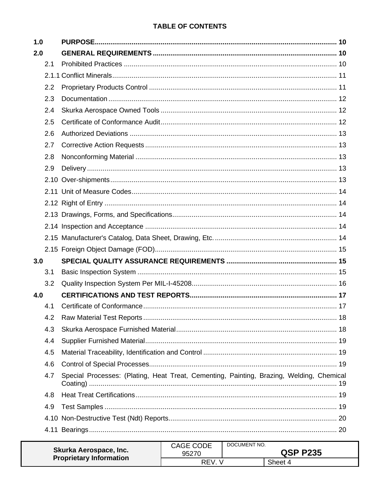# **TABLE OF CONTENTS**

| 1.0 |                                                                                          |  |
|-----|------------------------------------------------------------------------------------------|--|
| 2.0 |                                                                                          |  |
| 2.1 |                                                                                          |  |
|     |                                                                                          |  |
| 2.2 |                                                                                          |  |
| 2.3 |                                                                                          |  |
| 2.4 |                                                                                          |  |
| 2.5 |                                                                                          |  |
| 2.6 |                                                                                          |  |
| 2.7 |                                                                                          |  |
| 2.8 |                                                                                          |  |
| 2.9 |                                                                                          |  |
|     |                                                                                          |  |
|     |                                                                                          |  |
|     |                                                                                          |  |
|     |                                                                                          |  |
|     |                                                                                          |  |
|     |                                                                                          |  |
|     |                                                                                          |  |
| 3.0 |                                                                                          |  |
| 3.1 |                                                                                          |  |
| 3.2 |                                                                                          |  |
| 4.0 |                                                                                          |  |
| 4.1 |                                                                                          |  |
|     |                                                                                          |  |
| 4.3 |                                                                                          |  |
| 4.4 |                                                                                          |  |
| 4.5 |                                                                                          |  |
| 4.6 |                                                                                          |  |
| 4.7 | Special Processes: (Plating, Heat Treat, Cementing, Painting, Brazing, Welding, Chemical |  |
| 4.8 |                                                                                          |  |
| 4.9 |                                                                                          |  |
|     |                                                                                          |  |
|     |                                                                                          |  |
|     | CAGE CODE DOCUMENT NO.                                                                   |  |

| Skurka Aerospace, Inc.         | <b>CAGE CODE</b><br>95270 | DOCUMENT NO. | <b>QSP P235</b> |
|--------------------------------|---------------------------|--------------|-----------------|
| <b>Proprietary Information</b> | <b>REV</b>                |              | Sheet 4         |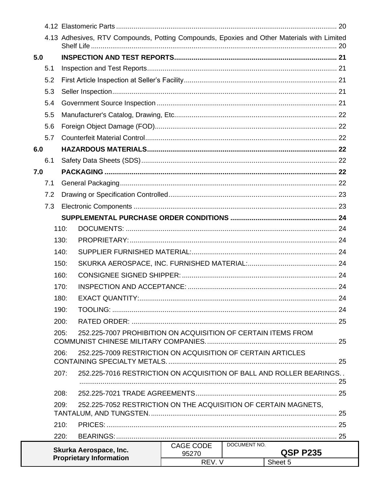|     |     |      | 4.13 Adhesives, RTV Compounds, Potting Compounds, Epoxies and Other Materials with Limited |                    |              |                 |  |
|-----|-----|------|--------------------------------------------------------------------------------------------|--------------------|--------------|-----------------|--|
| 5.0 |     |      |                                                                                            |                    |              |                 |  |
|     | 5.1 |      |                                                                                            |                    |              |                 |  |
|     | 5.2 |      |                                                                                            |                    |              |                 |  |
|     | 5.3 |      |                                                                                            |                    |              |                 |  |
|     | 5.4 |      |                                                                                            |                    |              |                 |  |
|     | 5.5 |      |                                                                                            |                    |              |                 |  |
|     | 5.6 |      |                                                                                            |                    |              |                 |  |
|     | 5.7 |      |                                                                                            |                    |              |                 |  |
| 6.0 |     |      |                                                                                            |                    |              |                 |  |
|     | 6.1 |      |                                                                                            |                    |              |                 |  |
| 7.0 |     |      |                                                                                            |                    |              |                 |  |
|     | 7.1 |      |                                                                                            |                    |              |                 |  |
|     | 7.2 |      |                                                                                            |                    |              |                 |  |
|     | 7.3 |      |                                                                                            |                    |              |                 |  |
|     |     |      |                                                                                            |                    |              |                 |  |
|     |     | 110: |                                                                                            |                    |              |                 |  |
|     |     | 130: |                                                                                            |                    |              |                 |  |
|     |     | 140: |                                                                                            |                    |              |                 |  |
|     |     | 150: |                                                                                            |                    |              |                 |  |
|     |     | 160: |                                                                                            |                    |              |                 |  |
|     |     | 170: |                                                                                            |                    |              |                 |  |
|     |     | 180: |                                                                                            |                    |              |                 |  |
|     |     | 190: |                                                                                            |                    |              |                 |  |
|     |     | 200: |                                                                                            |                    |              |                 |  |
|     |     | 205: | 252.225-7007 PROHIBITION ON ACQUISITION OF CERTAIN ITEMS FROM                              |                    |              |                 |  |
|     |     | 206: | 252.225-7009 RESTRICTION ON ACQUISITION OF CERTAIN ARTICLES                                |                    |              |                 |  |
|     |     | 207: | 252.225-7016 RESTRICTION ON ACQUISITION OF BALL AND ROLLER BEARINGS                        |                    |              |                 |  |
|     |     |      |                                                                                            |                    |              |                 |  |
|     |     | 208: |                                                                                            |                    |              |                 |  |
|     |     | 209: | 252.225-7052 RESTRICTION ON THE ACQUISITION OF CERTAIN MAGNETS,                            |                    |              |                 |  |
|     |     | 210: |                                                                                            |                    |              |                 |  |
|     |     | 220: |                                                                                            |                    |              |                 |  |
|     |     |      | Skurka Aerospace, Inc.                                                                     | CAGE CODE<br>95270 | DOCUMENT NO. | <b>QSP P235</b> |  |
|     |     |      | <b>Proprietary Information</b>                                                             | REV. V             |              | Sheet 5         |  |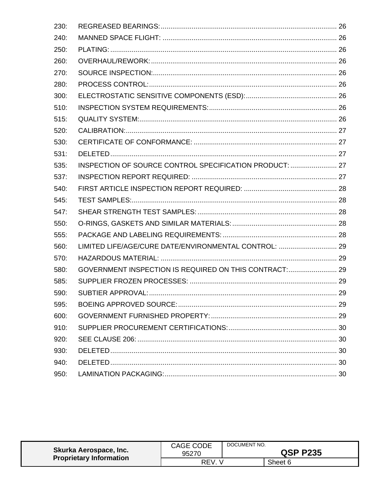| 230: |                                                         |  |
|------|---------------------------------------------------------|--|
| 240: |                                                         |  |
| 250: |                                                         |  |
| 260: |                                                         |  |
| 270: |                                                         |  |
| 280: |                                                         |  |
| 300: |                                                         |  |
| 510: |                                                         |  |
| 515: |                                                         |  |
| 520: |                                                         |  |
| 530: |                                                         |  |
| 531: |                                                         |  |
| 535: | INSPECTION OF SOURCE CONTROL SPECIFICATION PRODUCT:  27 |  |
| 537: |                                                         |  |
| 540: |                                                         |  |
| 545: |                                                         |  |
| 547: |                                                         |  |
| 550: |                                                         |  |
| 555: |                                                         |  |
| 560: | LIMITED LIFE/AGE/CURE DATE/ENVIRONMENTAL CONTROL:  29   |  |
| 570: |                                                         |  |
| 580: | GOVERNMENT INSPECTION IS REQUIRED ON THIS CONTRACT: 29  |  |
| 585: |                                                         |  |
| 590: |                                                         |  |
| 595: |                                                         |  |
| 600: |                                                         |  |
| 910: |                                                         |  |
| 920: |                                                         |  |
| 930: |                                                         |  |
| 940: |                                                         |  |
| 950: |                                                         |  |

| Skurka Aerospace, Inc.<br><b>Proprietary Information</b> | CAGE CODE<br>95270 | DOCUMENT NO.<br><b>QSP P235</b> |         |
|----------------------------------------------------------|--------------------|---------------------------------|---------|
|                                                          | RFV                |                                 | Sheet 6 |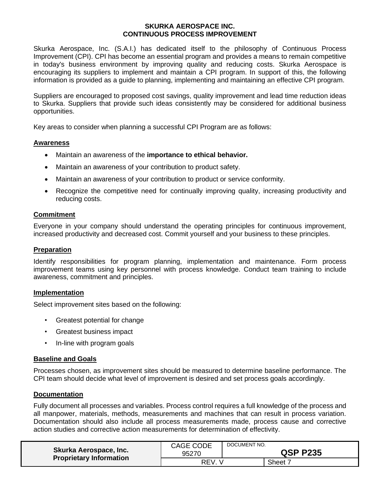### **SKURKA AEROSPACE INC. CONTINUOUS PROCESS IMPROVEMENT**

Skurka Aerospace, Inc. (S.A.I.) has dedicated itself to the philosophy of Continuous Process Improvement (CPI). CPI has become an essential program and provides a means to remain competitive in today's business environment by improving quality and reducing costs. Skurka Aerospace is encouraging its suppliers to implement and maintain a CPI program. In support of this, the following information is provided as a guide to planning, implementing and maintaining an effective CPI program.

Suppliers are encouraged to proposed cost savings, quality improvement and lead time reduction ideas to Skurka. Suppliers that provide such ideas consistently may be considered for additional business opportunities.

Key areas to consider when planning a successful CPI Program are as follows:

## **Awareness**

- Maintain an awareness of the **importance to ethical behavior.**
- Maintain an awareness of your contribution to product safety.
- Maintain an awareness of your contribution to product or service conformity.
- Recognize the competitive need for continually improving quality, increasing productivity and reducing costs.

## **Commitment**

Everyone in your company should understand the operating principles for continuous improvement, increased productivity and decreased cost. Commit yourself and your business to these principles.

### **Preparation**

Identify responsibilities for program planning, implementation and maintenance. Form process improvement teams using key personnel with process knowledge. Conduct team training to include awareness, commitment and principles.

#### **Implementation**

Select improvement sites based on the following:

- Greatest potential for change
- Greatest business impact
- In-line with program goals

#### **Baseline and Goals**

Processes chosen, as improvement sites should be measured to determine baseline performance. The CPI team should decide what level of improvement is desired and set process goals accordingly.

#### **Documentation**

Fully document all processes and variables. Process control requires a full knowledge of the process and all manpower, materials, methods, measurements and machines that can result in process variation. Documentation should also include all process measurements made, process cause and corrective action studies and corrective action measurements for determination of effectivity.

| Skurka Aerospace, Inc.<br><b>Proprietary Information</b> | <b>CAGE CODE</b><br>95270 | DOCUMENT NO.<br><b>QSP P235</b> |         |  |
|----------------------------------------------------------|---------------------------|---------------------------------|---------|--|
|                                                          | <b>REV</b>                |                                 | Sheet 7 |  |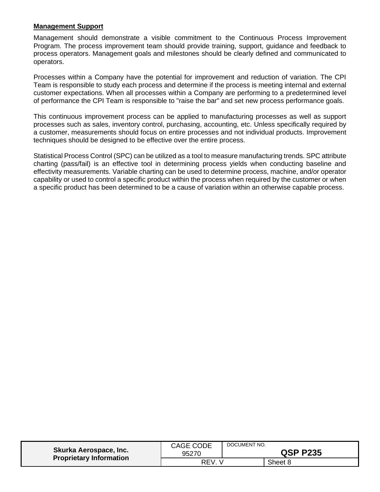### **Management Support**

Management should demonstrate a visible commitment to the Continuous Process Improvement Program. The process improvement team should provide training, support, guidance and feedback to process operators. Management goals and milestones should be clearly defined and communicated to operators.

Processes within a Company have the potential for improvement and reduction of variation. The CPI Team is responsible to study each process and determine if the process is meeting internal and external customer expectations. When all processes within a Company are performing to a predetermined level of performance the CPI Team is responsible to "raise the bar" and set new process performance goals.

This continuous improvement process can be applied to manufacturing processes as well as support processes such as sales, inventory control, purchasing, accounting, etc. Unless specifically required by a customer, measurements should focus on entire processes and not individual products. Improvement techniques should be designed to be effective over the entire process.

Statistical Process Control (SPC) can be utilized as a tool to measure manufacturing trends. SPC attribute charting (pass/fail) is an effective tool in determining process yields when conducting baseline and effectivity measurements. Variable charting can be used to determine process, machine, and/or operator capability or used to control a specific product within the process when required by the customer or when a specific product has been determined to be a cause of variation within an otherwise capable process.

| Skurka Aerospace, Inc.         | CAGE CODE | DOCUMENT NO.    |         |
|--------------------------------|-----------|-----------------|---------|
| <b>Proprietary Information</b> | 95270     | <b>QSP P235</b> |         |
|                                | REV.      |                 | Sheet 8 |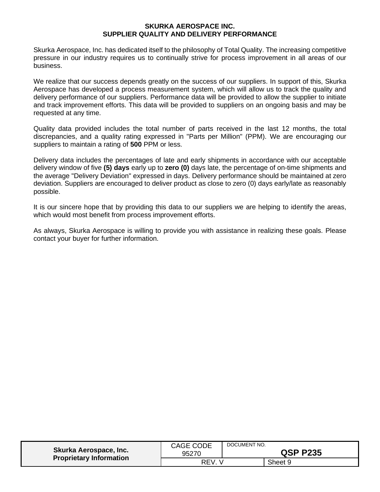### **SKURKA AEROSPACE INC. SUPPLIER QUALITY AND DELIVERY PERFORMANCE**

Skurka Aerospace, Inc. has dedicated itself to the philosophy of Total Quality. The increasing competitive pressure in our industry requires us to continually strive for process improvement in all areas of our business.

We realize that our success depends greatly on the success of our suppliers. In support of this, Skurka Aerospace has developed a process measurement system, which will allow us to track the quality and delivery performance of our suppliers. Performance data will be provided to allow the supplier to initiate and track improvement efforts. This data will be provided to suppliers on an ongoing basis and may be requested at any time.

Quality data provided includes the total number of parts received in the last 12 months, the total discrepancies, and a quality rating expressed in "Parts per Million" (PPM). We are encouraging our suppliers to maintain a rating of **500** PPM or less.

Delivery data includes the percentages of late and early shipments in accordance with our acceptable delivery window of five **(5) days** early up to **zero (0)** days late, the percentage of on-time shipments and the average "Delivery Deviation" expressed in days. Delivery performance should be maintained at zero deviation. Suppliers are encouraged to deliver product as close to zero (0) days early/late as reasonably possible.

It is our sincere hope that by providing this data to our suppliers we are helping to identify the areas, which would most benefit from process improvement efforts.

As always, Skurka Aerospace is willing to provide you with assistance in realizing these goals. Please contact your buyer for further information.

| Skurka Aerospace, Inc.<br><b>Proprietary Information</b> | <b>CAGE CODE</b><br>95270 | DOCUMENT NO.<br><b>QSP P235</b> |         |
|----------------------------------------------------------|---------------------------|---------------------------------|---------|
|                                                          | REV.                      |                                 | Sheet 9 |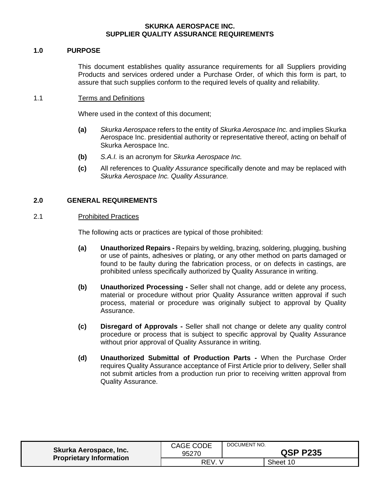### **SKURKA AEROSPACE INC. SUPPLIER QUALITY ASSURANCE REQUIREMENTS**

### <span id="page-9-0"></span>**1.0 PURPOSE**

This document establishes quality assurance requirements for all Suppliers providing Products and services ordered under a Purchase Order, of which this form is part, to assure that such supplies conform to the required levels of quality and reliability.

### 1.1 Terms and Definitions

Where used in the context of this document;

- **(a)** *Skurka Aerospace* refers to the entity of *Skurka Aerospace Inc.* and implies Skurka Aerospace Inc. presidential authority or representative thereof, acting on behalf of Skurka Aerospace Inc.
- **(b)** *S.A.I.* is an acronym for *Skurka Aerospace Inc.*
- **(c)** All references to *Quality Assurance* specifically denote and may be replaced with *Skurka Aerospace Inc. Quality Assurance.*

## <span id="page-9-1"></span>**2.0 GENERAL REQUIREMENTS**

#### <span id="page-9-2"></span>2.1 Prohibited Practices

The following acts or practices are typical of those prohibited:

- **(a) Unauthorized Repairs -** Repairs by welding, brazing, soldering, plugging, bushing or use of paints, adhesives or plating, or any other method on parts damaged or found to be faulty during the fabrication process, or on defects in castings, are prohibited unless specifically authorized by Quality Assurance in writing.
- **(b) Unauthorized Processing -** Seller shall not change, add or delete any process, material or procedure without prior Quality Assurance written approval if such process, material or procedure was originally subject to approval by Quality Assurance.
- **(c) Disregard of Approvals -** Seller shall not change or delete any quality control procedure or process that is subject to specific approval by Quality Assurance without prior approval of Quality Assurance in writing.
- **(d) Unauthorized Submittal of Production Parts -** When the Purchase Order requires Quality Assurance acceptance of First Article prior to delivery, Seller shall not submit articles from a production run prior to receiving written approval from Quality Assurance.

| Skurka Aerospace, Inc.<br><b>Proprietary Information</b> | <b>CAGE CODE</b><br>95270 | DOCUMENT NO.<br><b>QSP P235</b> |          |
|----------------------------------------------------------|---------------------------|---------------------------------|----------|
|                                                          | <b>REV</b>                |                                 | Sheet 10 |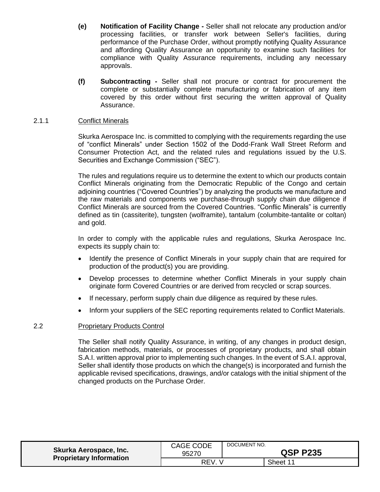- **(e) Notification of Facility Change -** Seller shall not relocate any production and/or processing facilities, or transfer work between Seller's facilities, during performance of the Purchase Order, without promptly notifying Quality Assurance and affording Quality Assurance an opportunity to examine such facilities for compliance with Quality Assurance requirements, including any necessary approvals.
- **(f) Subcontracting -** Seller shall not procure or contract for procurement the complete or substantially complete manufacturing or fabrication of any item covered by this order without first securing the written approval of Quality Assurance.

### <span id="page-10-0"></span>2.1.1 Conflict Minerals

Skurka Aerospace Inc. is committed to complying with the requirements regarding the use of "conflict Minerals" under Section 1502 of the Dodd-Frank Wall Street Reform and Consumer Protection Act, and the related rules and regulations issued by the U.S. Securities and Exchange Commission ("SEC").

The rules and regulations require us to determine the extent to which our products contain Conflict Minerals originating from the Democratic Republic of the Congo and certain adjoining countries ("Covered Countries") by analyzing the products we manufacture and the raw materials and components we purchase-through supply chain due diligence if Conflict Minerals are sourced from the Covered Countries. "Conflic Minerals" is currently defined as tin (cassiterite), tungsten (wolframite), tantalum (columbite-tantalite or coltan) and gold.

In order to comply with the applicable rules and regulations, Skurka Aerospace Inc. expects its supply chain to:

- Identify the presence of Conflict Minerals in your supply chain that are required for production of the product(s) you are providing.
- Develop processes to determine whether Conflict Minerals in your supply chain originate form Covered Countries or are derived from recycled or scrap sources.
- If necessary, perform supply chain due diligence as required by these rules.
- Inform your suppliers of the SEC reporting requirements related to Conflict Materials.

## <span id="page-10-1"></span>2.2 Proprietary Products Control

The Seller shall notify Quality Assurance, in writing, of any changes in product design, fabrication methods, materials, or processes of proprietary products, and shall obtain S.A.I. written approval prior to implementing such changes. In the event of S.A.I. approval, Seller shall identify those products on which the change(s) is incorporated and furnish the applicable revised specifications, drawings, and/or catalogs with the initial shipment of the changed products on the Purchase Order.

| Skurka Aerospace, Inc.         | CAGE CODE | DOCUMENT NO.    |          |
|--------------------------------|-----------|-----------------|----------|
| <b>Proprietary Information</b> | 95270     | <b>QSP P235</b> |          |
|                                | REV.      |                 | Sheet 11 |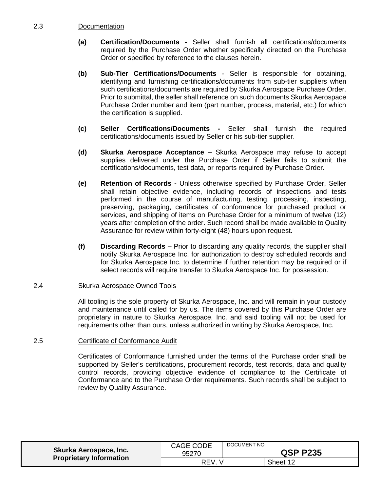## <span id="page-11-0"></span>2.3 Documentation

- **(a) Certification/Documents -** Seller shall furnish all certifications/documents required by the Purchase Order whether specifically directed on the Purchase Order or specified by reference to the clauses herein.
- **(b) Sub-Tier Certifications/Documents** Seller is responsible for obtaining, identifying and furnishing certifications/documents from sub-tier suppliers when such certifications/documents are required by Skurka Aerospace Purchase Order. Prior to submittal, the seller shall reference on such documents Skurka Aerospace Purchase Order number and item (part number, process, material, etc.) for which the certification is supplied.
- **(c) Seller Certifications/Documents -** Seller shall furnish the required certifications/documents issued by Seller or his sub-tier supplier.
- **(d) Skurka Aerospace Acceptance –** Skurka Aerospace may refuse to accept supplies delivered under the Purchase Order if Seller fails to submit the certifications/documents, test data, or reports required by Purchase Order.
- **(e) Retention of Records -** Unless otherwise specified by Purchase Order, Seller shall retain objective evidence, including records of inspections and tests performed in the course of manufacturing, testing, processing, inspecting, preserving, packaging, certificates of conformance for purchased product or services, and shipping of items on Purchase Order for a minimum of twelve (12) years after completion of the order. Such record shall be made available to Quality Assurance for review within forty-eight (48) hours upon request.
- **(f) Discarding Records –** Prior to discarding any quality records, the supplier shall notify Skurka Aerospace Inc. for authorization to destroy scheduled records and for Skurka Aerospace Inc. to determine if further retention may be required or if select records will require transfer to Skurka Aerospace Inc. for possession.

#### <span id="page-11-1"></span>2.4 Skurka Aerospace Owned Tools

All tooling is the sole property of Skurka Aerospace, Inc. and will remain in your custody and maintenance until called for by us. The items covered by this Purchase Order are proprietary in nature to Skurka Aerospace, Inc. and said tooling will not be used for requirements other than ours, unless authorized in writing by Skurka Aerospace, Inc.

## <span id="page-11-2"></span>2.5 Certificate of Conformance Audit

Certificates of Conformance furnished under the terms of the Purchase order shall be supported by Seller's certifications, procurement records, test records, data and quality control records, providing objective evidence of compliance to the Certificate of Conformance and to the Purchase Order requirements. Such records shall be subject to review by Quality Assurance.

| <b>Skurka Aerospace, Inc.</b><br><b>Proprietary Information</b> | <b>CAGE CODE</b><br>95270 | DOCUMENT NO.<br><b>QSP P235</b> |          |
|-----------------------------------------------------------------|---------------------------|---------------------------------|----------|
|                                                                 | REV.                      |                                 | Sheet 12 |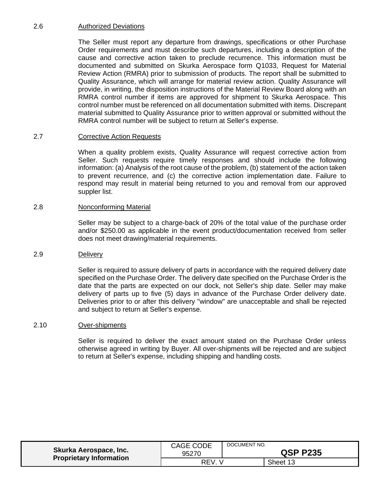# <span id="page-12-0"></span>2.6 Authorized Deviations

The Seller must report any departure from drawings, specifications or other Purchase Order requirements and must describe such departures, including a description of the cause and corrective action taken to preclude recurrence. This information must be documented and submitted on Skurka Aerospace form Q1033, Request for Material Review Action (RMRA) prior to submission of products. The report shall be submitted to Quality Assurance, which will arrange for material review action. Quality Assurance will provide, in writing, the disposition instructions of the Material Review Board along with an RMRA control number if items are approved for shipment to Skurka Aerospace. This control number must be referenced on all documentation submitted with items. Discrepant material submitted to Quality Assurance prior to written approval or submitted without the RMRA control number will be subject to return at Seller's expense.

### <span id="page-12-1"></span>2.7 Corrective Action Requests

When a quality problem exists, Quality Assurance will request corrective action from Seller. Such requests require timely responses and should include the following information: (a) Analysis of the root cause of the problem, (b) statement of the action taken to prevent recurrence, and (c) the corrective action implementation date. Failure to respond may result in material being returned to you and removal from our approved suppler list.

### <span id="page-12-2"></span>2.8 Nonconforming Material

Seller may be subject to a charge-back of 20% of the total value of the purchase order and/or \$250.00 as applicable in the event product/documentation received from seller does not meet drawing/material requirements.

#### <span id="page-12-3"></span>2.9 Delivery

Seller is required to assure delivery of parts in accordance with the required delivery date specified on the Purchase Order. The delivery date specified on the Purchase Order is the date that the parts are expected on our dock, not Seller's ship date. Seller may make delivery of parts up to five (5) days in advance of the Purchase Order delivery date. Deliveries prior to or after this delivery "window" are unacceptable and shall be rejected and subject to return at Seller's expense.

#### <span id="page-12-4"></span>2.10 Over-shipments

Seller is required to deliver the exact amount stated on the Purchase Order unless otherwise agreed in writing by Buyer. All over-shipments will be rejected and are subject to return at Seller's expense, including shipping and handling costs.

| Skurka Aerospace, Inc.<br><b>Proprietary Information</b> | <b>CAGE CODE</b><br>95270 | DOCUMENT NO. | <b>QSP P235</b> |
|----------------------------------------------------------|---------------------------|--------------|-----------------|
|                                                          | REV.                      |              | Sheet 13        |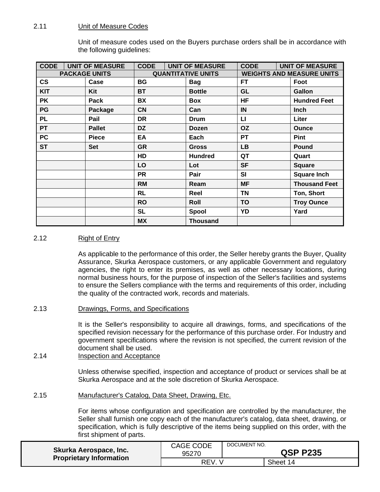# <span id="page-13-0"></span>2.11 Unit of Measure Codes

Unit of measure codes used on the Buyers purchase orders shall be in accordance with the following guidelines:

| <b>CODE</b>   | <b>UNIT OF MEASURE</b> | <b>CODE</b> | <b>UNIT OF MEASURE</b>    | <b>CODE</b> | <b>UNIT OF MEASURE</b>           |
|---------------|------------------------|-------------|---------------------------|-------------|----------------------------------|
|               | <b>PACKAGE UNITS</b>   |             | <b>QUANTITATIVE UNITS</b> |             | <b>WEIGHTS AND MEASURE UNITS</b> |
| $\mathsf{cs}$ | Case                   | BG          | <b>Bag</b>                | FT          | Foot                             |
| <b>KIT</b>    | Kit                    | ВT          | <b>Bottle</b>             | <b>GL</b>   | Gallon                           |
| PK            | Pack                   | <b>BX</b>   | Box                       | <b>HF</b>   | <b>Hundred Feet</b>              |
| PG            | Package                | <b>CN</b>   | Can                       | IN          | <b>Inch</b>                      |
| <b>PL</b>     | Pail                   | DR          | <b>Drum</b>               | LI.         | Liter                            |
| <b>PT</b>     | <b>Pallet</b>          | <b>DZ</b>   | <b>Dozen</b>              | <b>OZ</b>   | <b>Ounce</b>                     |
| <b>PC</b>     | <b>Piece</b>           | EA          | Each                      | <b>PT</b>   | <b>Pint</b>                      |
| <b>ST</b>     | <b>Set</b>             | <b>GR</b>   | <b>Gross</b>              | <b>LB</b>   | <b>Pound</b>                     |
|               |                        | HD          | <b>Hundred</b>            | QT          | Quart                            |
|               |                        | LO          | Lot                       | <b>SF</b>   | <b>Square</b>                    |
|               |                        | <b>PR</b>   | Pair                      | SI          | <b>Square Inch</b>               |
|               |                        | <b>RM</b>   | Ream                      | <b>MF</b>   | <b>Thousand Feet</b>             |
|               |                        | <b>RL</b>   | Reel                      | <b>TN</b>   | Ton, Short                       |
|               |                        | <b>RO</b>   | Roll                      | <b>TO</b>   | <b>Troy Ounce</b>                |
|               |                        | <b>SL</b>   | Spool                     | YD          | Yard                             |
|               |                        | <b>MX</b>   | <b>Thousand</b>           |             |                                  |

# <span id="page-13-1"></span>2.12 Right of Entry

As applicable to the performance of this order, the Seller hereby grants the Buyer, Quality Assurance, Skurka Aerospace customers, or any applicable Government and regulatory agencies, the right to enter its premises, as well as other necessary locations, during normal business hours, for the purpose of inspection of the Seller's facilities and systems to ensure the Sellers compliance with the terms and requirements of this order, including the quality of the contracted work, records and materials.

<span id="page-13-2"></span>2.13 Drawings, Forms, and Specifications

It is the Seller's responsibility to acquire all drawings, forms, and specifications of the specified revision necessary for the performance of this purchase order. For Industry and government specifications where the revision is not specified, the current revision of the document shall be used.

<span id="page-13-3"></span>2.14 Inspection and Acceptance

Unless otherwise specified, inspection and acceptance of product or services shall be at Skurka Aerospace and at the sole discretion of Skurka Aerospace.

<span id="page-13-4"></span>2.15 Manufacturer's Catalog, Data Sheet, Drawing, Etc.

For items whose configuration and specification are controlled by the manufacturer, the Seller shall furnish one copy each of the manufacturer's catalog, data sheet, drawing, or specification, which is fully descriptive of the items being supplied on this order, with the first shipment of parts.

| Skurka Aerospace, Inc.         | <b>CAGE CODE</b> | DOCUMENT NO.    |          |
|--------------------------------|------------------|-----------------|----------|
| <b>Proprietary Information</b> | 95270            | <b>QSP P235</b> |          |
|                                | REV.             |                 | Sheet 14 |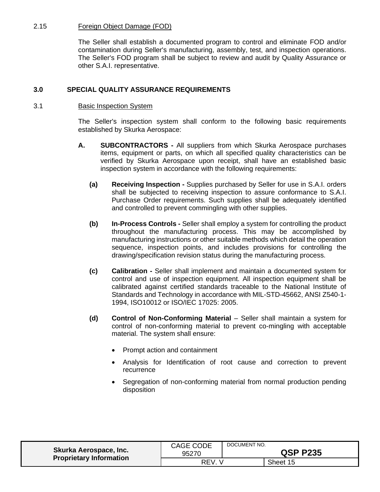# <span id="page-14-0"></span>2.15 Foreign Object Damage (FOD)

The Seller shall establish a documented program to control and eliminate FOD and/or contamination during Seller's manufacturing, assembly, test, and inspection operations. The Seller's FOD program shall be subject to review and audit by Quality Assurance or other S.A.I. representative.

# <span id="page-14-1"></span>**3.0 SPECIAL QUALITY ASSURANCE REQUIREMENTS**

### <span id="page-14-2"></span>3.1 Basic Inspection System

The Seller's inspection system shall conform to the following basic requirements established by Skurka Aerospace:

- **A. SUBCONTRACTORS -** All suppliers from which Skurka Aerospace purchases items, equipment or parts, on which all specified quality characteristics can be verified by Skurka Aerospace upon receipt, shall have an established basic inspection system in accordance with the following requirements:
	- **(a) Receiving Inspection -** Supplies purchased by Seller for use in S.A.I. orders shall be subjected to receiving inspection to assure conformance to S.A.I. Purchase Order requirements. Such supplies shall be adequately identified and controlled to prevent commingling with other supplies.
	- **(b) In-Process Controls -** Seller shall employ a system for controlling the product throughout the manufacturing process. This may be accomplished by manufacturing instructions or other suitable methods which detail the operation sequence, inspection points, and includes provisions for controlling the drawing/specification revision status during the manufacturing process.
	- **(c) Calibration -** Seller shall implement and maintain a documented system for control and use of inspection equipment. All inspection equipment shall be calibrated against certified standards traceable to the National Institute of Standards and Technology in accordance with MIL-STD-45662, ANSI Z540-1- 1994, ISO10012 or ISO/IEC 17025: 2005.
	- **(d) Control of Non-Conforming Material** Seller shall maintain a system for control of non-conforming material to prevent co-mingling with acceptable material. The system shall ensure:
		- Prompt action and containment
		- Analysis for Identification of root cause and correction to prevent recurrence
		- Segregation of non-conforming material from normal production pending disposition

| Skurka Aerospace, Inc.         | CAGE CODE<br>95270 | DOCUMENT NO. | <b>QSP P235</b> |
|--------------------------------|--------------------|--------------|-----------------|
| <b>Proprietary Information</b> | REV.               |              | Sheet 15        |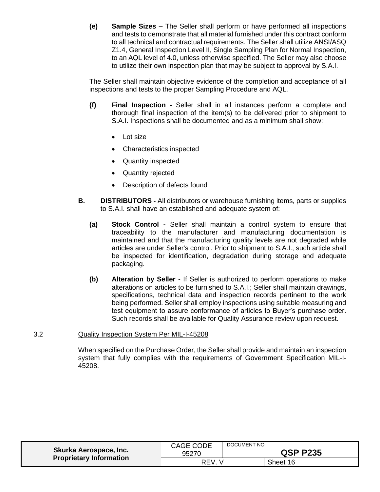**(e) Sample Sizes –** The Seller shall perform or have performed all inspections and tests to demonstrate that all material furnished under this contract conform to all technical and contractual requirements. The Seller shall utilize ANSI/ASQ Z1.4, General Inspection Level II, Single Sampling Plan for Normal Inspection, to an AQL level of 4.0, unless otherwise specified. The Seller may also choose to utilize their own inspection plan that may be subject to approval by S.A.I.

The Seller shall maintain objective evidence of the completion and acceptance of all inspections and tests to the proper Sampling Procedure and AQL.

- **(f) Final Inspection -** Seller shall in all instances perform a complete and thorough final inspection of the item(s) to be delivered prior to shipment to S.A.I. Inspections shall be documented and as a minimum shall show:
	- Lot size
	- Characteristics inspected
	- Quantity inspected
	- Quantity rejected
	- Description of defects found
- **B. DISTRIBUTORS -** All distributors or warehouse furnishing items, parts or supplies to S.A.I. shall have an established and adequate system of:
	- **(a) Stock Control -** Seller shall maintain a control system to ensure that traceability to the manufacturer and manufacturing documentation is maintained and that the manufacturing quality levels are not degraded while articles are under Seller's control. Prior to shipment to S.A.I., such article shall be inspected for identification, degradation during storage and adequate packaging.
	- **(b) Alteration by Seller -** If Seller is authorized to perform operations to make alterations on articles to be furnished to S.A.I.; Seller shall maintain drawings, specifications, technical data and inspection records pertinent to the work being performed. Seller shall employ inspections using suitable measuring and test equipment to assure conformance of articles to Buyer's purchase order. Such records shall be available for Quality Assurance review upon request.

#### <span id="page-15-0"></span>3.2 Quality Inspection System Per MIL-I-45208

When specified on the Purchase Order, the Seller shall provide and maintain an inspection system that fully complies with the requirements of Government Specification MIL-I-45208.

| Skurka Aerospace, Inc.<br><b>Proprietary Information</b> | <b>CAGE CODE</b><br>95270 | DOCUMENT NO. | <b>QSP P235</b> |
|----------------------------------------------------------|---------------------------|--------------|-----------------|
|                                                          | REV                       |              | Sheet 16        |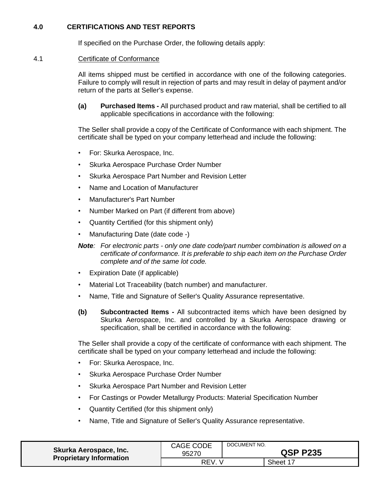# <span id="page-16-0"></span>**4.0 CERTIFICATIONS AND TEST REPORTS**

If specified on the Purchase Order, the following details apply:

#### <span id="page-16-1"></span>4.1 Certificate of Conformance

All items shipped must be certified in accordance with one of the following categories. Failure to comply will result in rejection of parts and may result in delay of payment and/or return of the parts at Seller's expense.

**(a) Purchased Items -** All purchased product and raw material, shall be certified to all applicable specifications in accordance with the following:

The Seller shall provide a copy of the Certificate of Conformance with each shipment. The certificate shall be typed on your company letterhead and include the following:

- For: Skurka Aerospace, Inc.
- Skurka Aerospace Purchase Order Number
- Skurka Aerospace Part Number and Revision Letter
- Name and Location of Manufacturer
- Manufacturer's Part Number
- Number Marked on Part (if different from above)
- Quantity Certified (for this shipment only)
- Manufacturing Date (date code -)
- *Note: For electronic parts - only one date code/part number combination is allowed on a certificate of conformance. It is preferable to ship each item on the Purchase Order complete and of the same lot code.*
- Expiration Date (if applicable)
- Material Lot Traceability (batch number) and manufacturer.
- Name, Title and Signature of Seller's Quality Assurance representative.
- **(b) Subcontracted Items -** All subcontracted items which have been designed by Skurka Aerospace, Inc. and controlled by a Skurka Aerospace drawing or specification, shall be certified in accordance with the following:

The Seller shall provide a copy of the certificate of conformance with each shipment. The certificate shall be typed on your company letterhead and include the following:

- For: Skurka Aerospace, Inc.
- Skurka Aerospace Purchase Order Number
- Skurka Aerospace Part Number and Revision Letter
- For Castings or Powder Metallurgy Products: Material Specification Number
- Quantity Certified (for this shipment only)
- Name, Title and Signature of Seller's Quality Assurance representative.

| Skurka Aerospace, Inc.         | CAGE CODE | DOCUMENT NO.    |          |
|--------------------------------|-----------|-----------------|----------|
| <b>Proprietary Information</b> | 95270     | <b>QSP P235</b> |          |
|                                | REV.      |                 | Sheet 17 |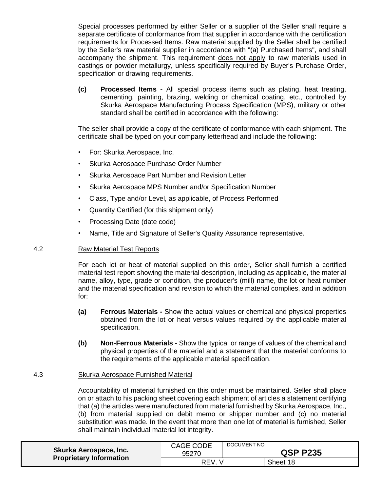Special processes performed by either Seller or a supplier of the Seller shall require a separate certificate of conformance from that supplier in accordance with the certification requirements for Processed Items. Raw material supplied by the Seller shall be certified by the Seller's raw material supplier in accordance with "(a) Purchased Items", and shall accompany the shipment. This requirement does not apply to raw materials used in castings or powder metallurgy, unless specifically required by Buyer's Purchase Order, specification or drawing requirements.

**(c) Processed Items -** All special process items such as plating, heat treating, cementing, painting, brazing, welding or chemical coating, etc., controlled by Skurka Aerospace Manufacturing Process Specification (MPS), military or other standard shall be certified in accordance with the following:

The seller shall provide a copy of the certificate of conformance with each shipment. The certificate shall be typed on your company letterhead and include the following:

- For: Skurka Aerospace, Inc.
- Skurka Aerospace Purchase Order Number
- Skurka Aerospace Part Number and Revision Letter
- Skurka Aerospace MPS Number and/or Specification Number
- Class, Type and/or Level, as applicable, of Process Performed
- Quantity Certified (for this shipment only)
- Processing Date (date code)
- Name, Title and Signature of Seller's Quality Assurance representative.

#### <span id="page-17-0"></span>4.2 Raw Material Test Reports

For each lot or heat of material supplied on this order, Seller shall furnish a certified material test report showing the material description, including as applicable, the material name, alloy, type, grade or condition, the producer's (mill) name, the lot or heat number and the material specification and revision to which the material complies, and in addition for:

- **(a) Ferrous Materials -** Show the actual values or chemical and physical properties obtained from the lot or heat versus values required by the applicable material specification.
- **(b) Non-Ferrous Materials -** Show the typical or range of values of the chemical and physical properties of the material and a statement that the material conforms to the requirements of the applicable material specification.

#### <span id="page-17-1"></span>4.3 Skurka Aerospace Furnished Material

Accountability of material furnished on this order must be maintained. Seller shall place on or attach to his packing sheet covering each shipment of articles a statement certifying that (a) the articles were manufactured from material furnished by Skurka Aerospace, Inc., (b) from material supplied on debit memo or shipper number and (c) no material substitution was made. In the event that more than one lot of material is furnished, Seller shall maintain individual material lot integrity.

| Skurka Aerospace, Inc.<br><b>Proprietary Information</b> | CAGE CODE<br>95270 | DOCUMENT NO.<br><b>QSP P235</b> |          |
|----------------------------------------------------------|--------------------|---------------------------------|----------|
|                                                          | <b>REV</b>         |                                 | Sheet 18 |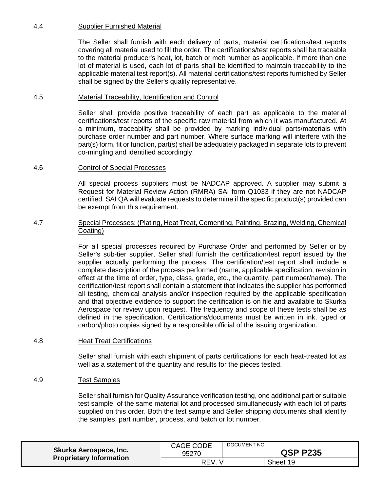# <span id="page-18-0"></span>4.4 Supplier Furnished Material

The Seller shall furnish with each delivery of parts, material certifications/test reports covering all material used to fill the order. The certifications/test reports shall be traceable to the material producer's heat, lot, batch or melt number as applicable. If more than one lot of material is used, each lot of parts shall be identified to maintain traceability to the applicable material test report(s). All material certifications/test reports furnished by Seller shall be signed by the Seller's quality representative.

# <span id="page-18-1"></span>4.5 Material Traceability, Identification and Control

Seller shall provide positive traceability of each part as applicable to the material certifications/test reports of the specific raw material from which it was manufactured. At a minimum, traceability shall be provided by marking individual parts/materials with purchase order number and part number. Where surface marking will interfere with the part(s) form, fit or function, part(s) shall be adequately packaged in separate lots to prevent co-mingling and identified accordingly.

## <span id="page-18-2"></span>4.6 Control of Special Processes

All special process suppliers must be NADCAP approved. A supplier may submit a Request for Material Review Action (RMRA) SAI form Q1033 if they are not NADCAP certified. SAI QA will evaluate requests to determine if the specific product(s) provided can be exempt from this requirement.

### <span id="page-18-3"></span>4.7 Special Processes: (Plating, Heat Treat, Cementing, Painting, Brazing, Welding, Chemical Coating)

For all special processes required by Purchase Order and performed by Seller or by Seller's sub-tier supplier, Seller shall furnish the certification/test report issued by the supplier actually performing the process. The certification/test report shall include a complete description of the process performed (name, applicable specification, revision in effect at the time of order, type, class, grade, etc., the quantity, part number/name). The certification/test report shall contain a statement that indicates the supplier has performed all testing, chemical analysis and/or inspection required by the applicable specification and that objective evidence to support the certification is on file and available to Skurka Aerospace for review upon request. The frequency and scope of these tests shall be as defined in the specification. Certifications/documents must be written in ink, typed or carbon/photo copies signed by a responsible official of the issuing organization.

## <span id="page-18-4"></span>4.8 Heat Treat Certifications

Seller shall furnish with each shipment of parts certifications for each heat-treated lot as well as a statement of the quantity and results for the pieces tested.

## <span id="page-18-5"></span>4.9 Test Samples

Seller shall furnish for Quality Assurance verification testing, one additional part or suitable test sample, of the same material lot and processed simultaneously with each lot of parts supplied on this order. Both the test sample and Seller shipping documents shall identify the samples, part number, process, and batch or lot number.

| Skurka Aerospace, Inc.         | CAGE CODE | DOCUMENT NO.    |          |
|--------------------------------|-----------|-----------------|----------|
| <b>Proprietary Information</b> | 95270     | <b>QSP P235</b> |          |
|                                | REV.      |                 | Sheet 19 |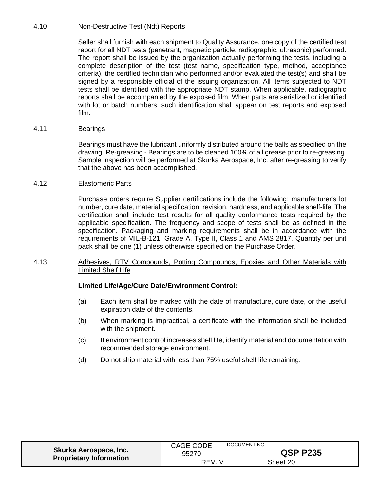# <span id="page-19-0"></span>4.10 Non-Destructive Test (Ndt) Reports

Seller shall furnish with each shipment to Quality Assurance, one copy of the certified test report for all NDT tests (penetrant, magnetic particle, radiographic, ultrasonic) performed. The report shall be issued by the organization actually performing the tests, including a complete description of the test (test name, specification type, method, acceptance criteria), the certified technician who performed and/or evaluated the test(s) and shall be signed by a responsible official of the issuing organization. All items subjected to NDT tests shall be identified with the appropriate NDT stamp. When applicable, radiographic reports shall be accompanied by the exposed film. When parts are serialized or identified with lot or batch numbers, such identification shall appear on test reports and exposed film.

## <span id="page-19-1"></span>4.11 Bearings

Bearings must have the lubricant uniformly distributed around the balls as specified on the drawing. Re-greasing - Bearings are to be cleaned 100% of all grease prior to re-greasing. Sample inspection will be performed at Skurka Aerospace, Inc. after re-greasing to verify that the above has been accomplished.

### <span id="page-19-2"></span>4.12 Elastomeric Parts

Purchase orders require Supplier certifications include the following: manufacturer's lot number, cure date, material specification, revision, hardness, and applicable shelf-life. The certification shall include test results for all quality conformance tests required by the applicable specification. The frequency and scope of tests shall be as defined in the specification. Packaging and marking requirements shall be in accordance with the requirements of MIL-B-121, Grade A, Type II, Class 1 and AMS 2817. Quantity per unit pack shall be one (1) unless otherwise specified on the Purchase Order.

### <span id="page-19-3"></span>4.13 Adhesives, RTV Compounds, Potting Compounds, Epoxies and Other Materials with Limited Shelf Life

## **Limited Life/Age/Cure Date/Environment Control:**

- (a) Each item shall be marked with the date of manufacture, cure date, or the useful expiration date of the contents.
- (b) When marking is impractical, a certificate with the information shall be included with the shipment.
- (c) If environment control increases shelf life, identify material and documentation with recommended storage environment.
- (d) Do not ship material with less than 75% useful shelf life remaining.

| Skurka Aerospace, Inc.         | CAGE CODE | DOCUMENT NO.    |          |
|--------------------------------|-----------|-----------------|----------|
| <b>Proprietary Information</b> | 95270     | <b>QSP P235</b> |          |
|                                | REV.      |                 | Sheet 20 |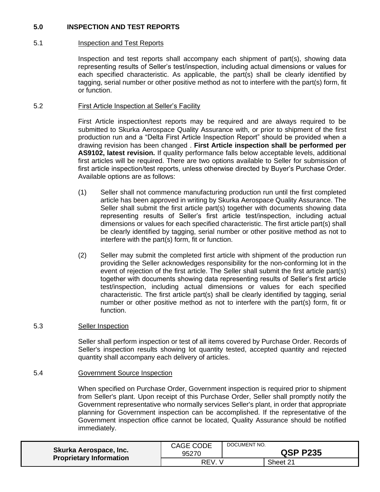# <span id="page-20-0"></span>**5.0 INSPECTION AND TEST REPORTS**

# <span id="page-20-1"></span>5.1 Inspection and Test Reports

Inspection and test reports shall accompany each shipment of part(s), showing data representing results of Seller's test/inspection, including actual dimensions or values for each specified characteristic. As applicable, the part(s) shall be clearly identified by tagging, serial number or other positive method as not to interfere with the part(s) form, fit or function.

### <span id="page-20-2"></span>5.2 First Article Inspection at Seller's Facility

First Article inspection/test reports may be required and are always required to be submitted to Skurka Aerospace Quality Assurance with, or prior to shipment of the first production run and a "Delta First Article Inspection Report" should be provided when a drawing revision has been changed . **First Article inspection shall be performed per AS9102, latest revision.** If quality performance falls below acceptable levels, additional first articles will be required. There are two options available to Seller for submission of first article inspection/test reports, unless otherwise directed by Buyer's Purchase Order. Available options are as follows:

- (1) Seller shall not commence manufacturing production run until the first completed article has been approved in writing by Skurka Aerospace Quality Assurance. The Seller shall submit the first article part(s) together with documents showing data representing results of Seller's first article test/inspection, including actual dimensions or values for each specified characteristic. The first article part(s) shall be clearly identified by tagging, serial number or other positive method as not to interfere with the part(s) form, fit or function.
- (2) Seller may submit the completed first article with shipment of the production run providing the Seller acknowledges responsibility for the non-conforming lot in the event of rejection of the first article. The Seller shall submit the first article part(s) together with documents showing data representing results of Seller's first article test/inspection, including actual dimensions or values for each specified characteristic. The first article part(s) shall be clearly identified by tagging, serial number or other positive method as not to interfere with the part(s) form, fit or function.

## <span id="page-20-3"></span>5.3 Seller Inspection

Seller shall perform inspection or test of all items covered by Purchase Order. Records of Seller's inspection results showing lot quantity tested, accepted quantity and rejected quantity shall accompany each delivery of articles.

## <span id="page-20-4"></span>5.4 Government Source Inspection

When specified on Purchase Order, Government inspection is required prior to shipment from Seller's plant. Upon receipt of this Purchase Order, Seller shall promptly notify the Government representative who normally services Seller's plant, in order that appropriate planning for Government inspection can be accomplished. If the representative of the Government inspection office cannot be located, Quality Assurance should be notified immediately.

| Skurka Aerospace, Inc.<br><b>Proprietary Information</b> | CAGE CODE<br>95270 | DOCUMENT NO.<br><b>QSP P235</b> |          |
|----------------------------------------------------------|--------------------|---------------------------------|----------|
|                                                          | REV.               |                                 | Sheet 21 |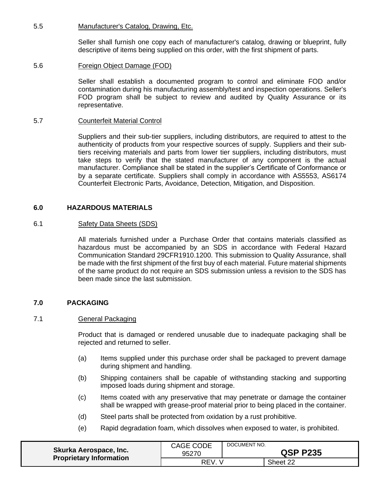### <span id="page-21-0"></span>5.5 Manufacturer's Catalog, Drawing, Etc.

Seller shall furnish one copy each of manufacturer's catalog, drawing or blueprint, fully descriptive of items being supplied on this order, with the first shipment of parts.

### <span id="page-21-1"></span>5.6 Foreign Object Damage (FOD)

Seller shall establish a documented program to control and eliminate FOD and/or contamination during his manufacturing assembly/test and inspection operations. Seller's FOD program shall be subject to review and audited by Quality Assurance or its representative.

#### <span id="page-21-2"></span>5.7 Counterfeit Material Control

Suppliers and their sub-tier suppliers, including distributors, are required to attest to the authenticity of products from your respective sources of supply. Suppliers and their subtiers receiving materials and parts from lower tier suppliers, including distributors, must take steps to verify that the stated manufacturer of any component is the actual manufacturer. Compliance shall be stated in the supplier's Certificate of Conformance or by a separate certificate. Suppliers shall comply in accordance with AS5553, AS6174 Counterfeit Electronic Parts, Avoidance, Detection, Mitigation, and Disposition.

### <span id="page-21-3"></span>**6.0 HAZARDOUS MATERIALS**

#### <span id="page-21-4"></span>6.1 **Safety Data Sheets (SDS)**

All materials furnished under a Purchase Order that contains materials classified as hazardous must be accompanied by an SDS in accordance with Federal Hazard Communication Standard 29CFR1910.1200. This submission to Quality Assurance, shall be made with the first shipment of the first buy of each material. Future material shipments of the same product do not require an SDS submission unless a revision to the SDS has been made since the last submission.

#### <span id="page-21-5"></span>**7.0 PACKAGING**

#### <span id="page-21-6"></span>7.1 General Packaging

Product that is damaged or rendered unusable due to inadequate packaging shall be rejected and returned to seller.

- (a) Items supplied under this purchase order shall be packaged to prevent damage during shipment and handling.
- (b) Shipping containers shall be capable of withstanding stacking and supporting imposed loads during shipment and storage.
- (c) Items coated with any preservative that may penetrate or damage the container shall be wrapped with grease-proof material prior to being placed in the container.
- (d) Steel parts shall be protected from oxidation by a rust prohibitive.
- (e) Rapid degradation foam, which dissolves when exposed to water, is prohibited.

| Skurka Aerospace, Inc.<br><b>Proprietary Information</b> | CAGE CODE<br>95270 | DOCUMENT NO.<br><b>QSP P235</b> |          |
|----------------------------------------------------------|--------------------|---------------------------------|----------|
|                                                          | <b>RFV</b>         |                                 | Sheet 22 |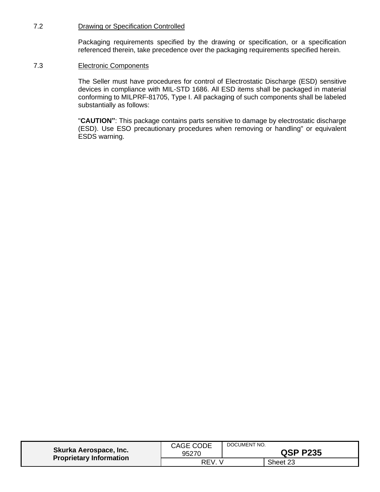### <span id="page-22-0"></span>7.2 Drawing or Specification Controlled

Packaging requirements specified by the drawing or specification, or a specification referenced therein, take precedence over the packaging requirements specified herein.

### <span id="page-22-1"></span>7.3 Electronic Components

The Seller must have procedures for control of Electrostatic Discharge (ESD) sensitive devices in compliance with MIL-STD 1686. All ESD items shall be packaged in material conforming to MILPRF-81705, Type I. All packaging of such components shall be labeled substantially as follows:

"**CAUTION"**: This package contains parts sensitive to damage by electrostatic discharge (ESD). Use ESO precautionary procedures when removing or handling" or equivalent ESDS warning.

| Skurka Aerospace, Inc.<br><b>Proprietary Information</b> | CAGE CODE<br>95270 | DOCUMENT NO.<br><b>QSP P235</b> |          |
|----------------------------------------------------------|--------------------|---------------------------------|----------|
|                                                          | REV                |                                 | Sheet 23 |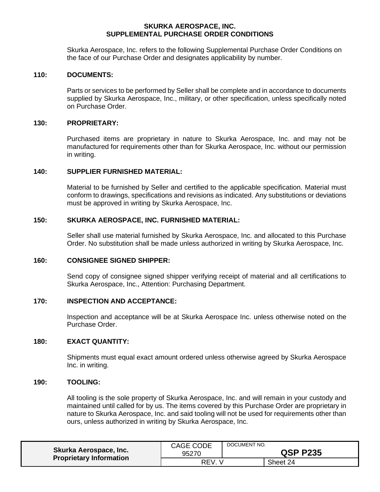### **SKURKA AEROSPACE, INC. SUPPLEMENTAL PURCHASE ORDER CONDITIONS**

<span id="page-23-0"></span>Skurka Aerospace, Inc. refers to the following Supplemental Purchase Order Conditions on the face of our Purchase Order and designates applicability by number.

#### <span id="page-23-1"></span>**110: DOCUMENTS:**

Parts or services to be performed by Seller shall be complete and in accordance to documents supplied by Skurka Aerospace, Inc., military, or other specification, unless specifically noted on Purchase Order.

#### <span id="page-23-2"></span>**130: PROPRIETARY:**

Purchased items are proprietary in nature to Skurka Aerospace, Inc. and may not be manufactured for requirements other than for Skurka Aerospace, Inc. without our permission in writing.

### <span id="page-23-3"></span>**140: SUPPLIER FURNISHED MATERIAL:**

Material to be furnished by Seller and certified to the applicable specification. Material must conform to drawings, specifications and revisions as indicated. Any substitutions or deviations must be approved in writing by Skurka Aerospace, Inc.

#### <span id="page-23-4"></span>**150: SKURKA AEROSPACE, INC. FURNISHED MATERIAL:**

Seller shall use material furnished by Skurka Aerospace, Inc. and allocated to this Purchase Order. No substitution shall be made unless authorized in writing by Skurka Aerospace, Inc.

### <span id="page-23-5"></span>**160: CONSIGNEE SIGNED SHIPPER:**

Send copy of consignee signed shipper verifying receipt of material and all certifications to Skurka Aerospace, Inc., Attention: Purchasing Department.

### <span id="page-23-6"></span>**170: INSPECTION AND ACCEPTANCE:**

Inspection and acceptance will be at Skurka Aerospace Inc. unless otherwise noted on the Purchase Order.

#### <span id="page-23-7"></span>**180: EXACT QUANTITY:**

Shipments must equal exact amount ordered unless otherwise agreed by Skurka Aerospace Inc. in writing.

#### <span id="page-23-8"></span>**190: TOOLING:**

All tooling is the sole property of Skurka Aerospace, Inc. and will remain in your custody and maintained until called for by us. The items covered by this Purchase Order are proprietary in nature to Skurka Aerospace, Inc. and said tooling will not be used for requirements other than ours, unless authorized in writing by Skurka Aerospace, Inc.

| <b>Skurka Aerospace, Inc.</b><br><b>Proprietary Information</b> | CAGE CODE<br>95270 | DOCUMENT NO. | <b>QSP P235</b> |
|-----------------------------------------------------------------|--------------------|--------------|-----------------|
|                                                                 | REV.               |              | Sheet 24        |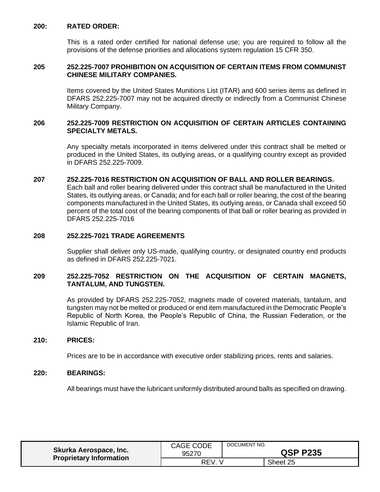### <span id="page-24-0"></span>**200: RATED ORDER:**

This is a rated order certified for national defense use; you are required to follow all the provisions of the defense priorities and allocations system regulation 15 CFR 350.

### <span id="page-24-1"></span>**205 252.225-7007 PROHIBITION ON ACQUISITION OF CERTAIN ITEMS FROM COMMUNIST CHINESE MILITARY COMPANIES.**

Items covered by the United States Munitions List (ITAR) and 600 series items as defined in DFARS 252.225-7007 may not be acquired directly or indirectly from a Communist Chinese Military Company.

### <span id="page-24-2"></span>**206 252.225-7009 RESTRICTION ON ACQUISITION OF CERTAIN ARTICLES CONTAINING SPECIALTY METALS.**

Any specialty metals incorporated in items delivered under this contract shall be melted or produced in the United States, its outlying areas, or a qualifying country except as provided in DFARS 252.225-7009.

#### <span id="page-24-3"></span>**207 252.225-7016 RESTRICTION ON ACQUISITION OF BALL AND ROLLER BEARINGS.**

Each ball and roller bearing delivered under this contract shall be manufactured in the United States, its outlying areas, or Canada; and for each ball or roller bearing, the cost of the bearing components manufactured in the United States, its outlying areas, or Canada shall exceed 50 percent of the total cost of the bearing components of that ball or roller bearing as provided in DFARS 252.225-7016

# <span id="page-24-4"></span>**208 252.225-7021 TRADE AGREEMENTS**

Supplier shall deliver only US-made, qualifying country, or designated country end products as defined in DFARS 252.225-7021.

### <span id="page-24-5"></span>**209 252.225-7052 RESTRICTION ON THE ACQUISITION OF CERTAIN MAGNETS, TANTALUM, AND TUNGSTEN.**

As provided by DFARS 252.225-7052, magnets made of covered materials, tantalum, and tungsten may not be melted or produced or end item manufactured in the Democratic People's Republic of North Korea, the People's Republic of China, the Russian Federation, or the Islamic Republic of Iran.

#### <span id="page-24-6"></span>**210: PRICES:**

Prices are to be in accordance with executive order stabilizing prices, rents and salaries.

#### <span id="page-24-7"></span>**220: BEARINGS:**

All bearings must have the lubricant uniformly distributed around balls as specified on drawing.

| Skurka Aerospace, Inc.<br><b>Proprietary Information</b> | <b>CAGE CODE</b><br>95270 | DOCUMENT NO. | <b>QSP P235</b> |
|----------------------------------------------------------|---------------------------|--------------|-----------------|
|                                                          | REV.                      |              | Sheet 25        |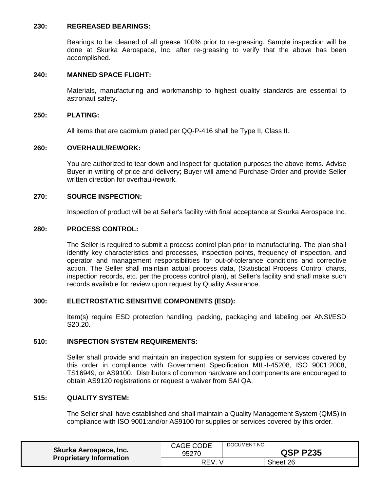#### <span id="page-25-0"></span>**230: REGREASED BEARINGS:**

Bearings to be cleaned of all grease 100% prior to re-greasing. Sample inspection will be done at Skurka Aerospace, Inc. after re-greasing to verify that the above has been accomplished.

### <span id="page-25-1"></span>**240: MANNED SPACE FLIGHT:**

Materials, manufacturing and workmanship to highest quality standards are essential to astronaut safety.

#### <span id="page-25-2"></span>**250: PLATING:**

All items that are cadmium plated per QQ-P-416 shall be Type II, Class II.

#### <span id="page-25-3"></span>**260: OVERHAUL/REWORK:**

You are authorized to tear down and inspect for quotation purposes the above items. Advise Buyer in writing of price and delivery; Buyer will amend Purchase Order and provide Seller written direction for overhaul/rework.

#### <span id="page-25-4"></span>**270: SOURCE INSPECTION:**

Inspection of product will be at Seller's facility with final acceptance at Skurka Aerospace Inc.

# <span id="page-25-5"></span>**280: PROCESS CONTROL:**

The Seller is required to submit a process control plan prior to manufacturing. The plan shall identify key characteristics and processes, inspection points, frequency of inspection, and operator and management responsibilities for out-of-tolerance conditions and corrective action. The Seller shall maintain actual process data, (Statistical Process Control charts, inspection records, etc. per the process control plan), at Seller's facility and shall make such records available for review upon request by Quality Assurance.

#### <span id="page-25-6"></span>**300: ELECTROSTATIC SENSITIVE COMPONENTS (ESD):**

Item(s) require ESD protection handling, packing, packaging and labeling per ANSI/ESD S20.20.

#### <span id="page-25-7"></span>**510: INSPECTION SYSTEM REQUIREMENTS:**

Seller shall provide and maintain an inspection system for supplies or services covered by this order in compliance with Government Specification MIL-I-45208, ISO 9001:2008, TS16949, or AS9100. Distributors of common hardware and components are encouraged to obtain AS9120 registrations or request a waiver from SAI QA.

### <span id="page-25-8"></span>**515: QUALITY SYSTEM:**

The Seller shall have established and shall maintain a Quality Management System (QMS) in compliance with ISO 9001:and/or AS9100 for supplies or services covered by this order.

| Skurka Aerospace, Inc.         | <b>CAGE CODE</b> | DOCUMENT NO.    |          |
|--------------------------------|------------------|-----------------|----------|
| <b>Proprietary Information</b> | 95270            | <b>QSP P235</b> |          |
|                                | <b>REV</b>       |                 | Sheet 26 |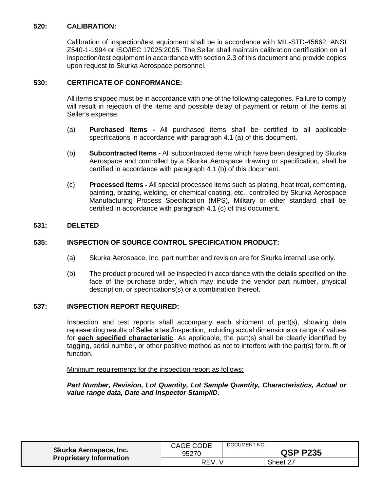# <span id="page-26-0"></span>**520: CALIBRATION:**

Calibration of inspection/test equipment shall be in accordance with MIL-STD-45662, ANSI Z540-1-1994 or ISO/IEC 17025:2005. The Seller shall maintain calibration certification on all inspection/test equipment in accordance with section 2.3 of this document and provide copies upon request to Skurka Aerospace personnel.

# <span id="page-26-1"></span>**530: CERTIFICATE OF CONFORMANCE:**

All items shipped must be in accordance with one of the following categories. Failure to comply will result in rejection of the items and possible delay of payment or return of the items at Seller's expense.

- (a) **Purchased Items -** All purchased items shall be certified to all applicable specifications in accordance with paragraph 4.1 (a) of this document.
- (b) **Subcontracted Items -** All subcontracted items which have been designed by Skurka Aerospace and controlled by a Skurka Aerospace drawing or specification, shall be certified in accordance with paragraph 4.1 (b) of this document.
- (c) **Processed Items -** All special processed items such as plating, heat treat, cementing, painting, brazing, welding, or chemical coating, etc., controlled by Skurka Aerospace Manufacturing Process Specification (MPS), Military or other standard shall be certified in accordance with paragraph 4.1 (c) of this document.

# <span id="page-26-2"></span>**531: DELETED**

# <span id="page-26-3"></span>**535: INSPECTION OF SOURCE CONTROL SPECIFICATION PRODUCT:**

- (a) Skurka Aerospace, Inc. part number and revision are for Skurka internal use only.
- (b) The product procured will be inspected in accordance with the details specified on the face of the purchase order, which may include the vendor part number, physical description, or specifications(s) or a combination thereof.

## <span id="page-26-4"></span>**537: INSPECTION REPORT REQUIRED:**

Inspection and test reports shall accompany each shipment of part(s), showing data representing results of Seller's test/inspection, including actual dimensions or range of values for **each specified characteristic**. As applicable, the part(s) shall be clearly identified by tagging, serial number, or other positive method as not to interfere with the part(s) form, fit or function.

Minimum requirements for the inspection report as follows:

## *Part Number, Revision, Lot Quantity, Lot Sample Quantity, Characteristics, Actual or value range data, Date and inspector Stamp/ID.*

| Skurka Aerospace, Inc.<br><b>Proprietary Information</b> | <b>CAGE CODE</b><br>95270 | DOCUMENT NO.<br><b>QSP P235</b> |          |
|----------------------------------------------------------|---------------------------|---------------------------------|----------|
|                                                          | REV.                      |                                 | Sheet 27 |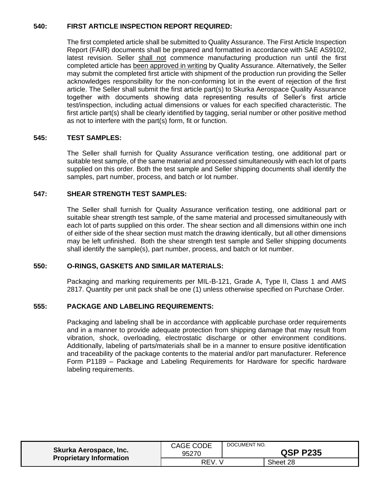# <span id="page-27-0"></span>**540: FIRST ARTICLE INSPECTION REPORT REQUIRED:**

The first completed article shall be submitted to Quality Assurance. The First Article Inspection Report (FAIR) documents shall be prepared and formatted in accordance with SAE AS9102, latest revision. Seller shall not commence manufacturing production run until the first completed article has been approved in writing by Quality Assurance. Alternatively, the Seller may submit the completed first article with shipment of the production run providing the Seller acknowledges responsibility for the non-conforming lot in the event of rejection of the first article. The Seller shall submit the first article part(s) to Skurka Aerospace Quality Assurance together with documents showing data representing results of Seller's first article test/inspection, including actual dimensions or values for each specified characteristic. The first article part(s) shall be clearly identified by tagging, serial number or other positive method as not to interfere with the part(s) form, fit or function.

# <span id="page-27-1"></span>**545: TEST SAMPLES:**

The Seller shall furnish for Quality Assurance verification testing, one additional part or suitable test sample, of the same material and processed simultaneously with each lot of parts supplied on this order. Both the test sample and Seller shipping documents shall identify the samples, part number, process, and batch or lot number.

# <span id="page-27-2"></span>**547: SHEAR STRENGTH TEST SAMPLES:**

The Seller shall furnish for Quality Assurance verification testing, one additional part or suitable shear strength test sample, of the same material and processed simultaneously with each lot of parts supplied on this order. The shear section and all dimensions within one inch of either side of the shear section must match the drawing identically, but all other dimensions may be left unfinished. Both the shear strength test sample and Seller shipping documents shall identify the sample(s), part number, process, and batch or lot number.

## <span id="page-27-3"></span>**550: O-RINGS, GASKETS AND SIMILAR MATERIALS:**

Packaging and marking requirements per MIL-B-121, Grade A, Type II, Class 1 and AMS 2817. Quantity per unit pack shall be one (1) unless otherwise specified on Purchase Order.

# <span id="page-27-4"></span>**555: PACKAGE AND LABELING REQUIREMENTS:**

Packaging and labeling shall be in accordance with applicable purchase order requirements and in a manner to provide adequate protection from shipping damage that may result from vibration, shock, overloading, electrostatic discharge or other environment conditions. Additionally, labeling of parts/materials shall be in a manner to ensure positive identification and traceability of the package contents to the material and/or part manufacturer. Reference Form P1189 – Package and Labeling Requirements for Hardware for specific hardware labeling requirements.

| Skurka Aerospace, Inc.<br><b>Proprietary Information</b> | CAGE CODE<br>95270 | DOCUMENT NO.<br><b>QSP P235</b> |          |
|----------------------------------------------------------|--------------------|---------------------------------|----------|
|                                                          | <b>REV</b>         |                                 | Sheet 28 |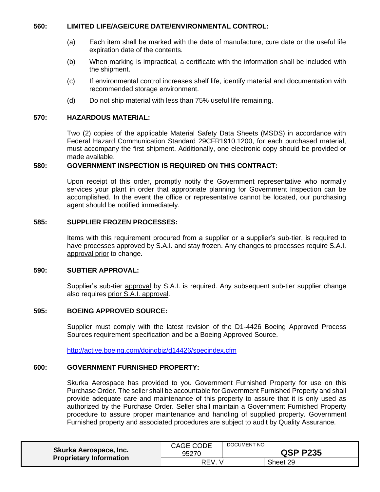### <span id="page-28-0"></span>**560: LIMITED LIFE/AGE/CURE DATE/ENVIRONMENTAL CONTROL:**

- (a) Each item shall be marked with the date of manufacture, cure date or the useful life expiration date of the contents.
- (b) When marking is impractical, a certificate with the information shall be included with the shipment.
- (c) If environmental control increases shelf life, identify material and documentation with recommended storage environment.
- (d) Do not ship material with less than 75% useful life remaining.

### <span id="page-28-1"></span>**570: HAZARDOUS MATERIAL:**

Two (2) copies of the applicable Material Safety Data Sheets (MSDS) in accordance with Federal Hazard Communication Standard 29CFR1910.1200, for each purchased material, must accompany the first shipment. Additionally, one electronic copy should be provided or made available.

### <span id="page-28-2"></span>**580: GOVERNMENT INSPECTION IS REQUIRED ON THIS CONTRACT:**

Upon receipt of this order, promptly notify the Government representative who normally services your plant in order that appropriate planning for Government Inspection can be accomplished. In the event the office or representative cannot be located, our purchasing agent should be notified immediately.

### <span id="page-28-3"></span>**585: SUPPLIER FROZEN PROCESSES:**

Items with this requirement procured from a supplier or a supplier's sub-tier, is required to have processes approved by S.A.I. and stay frozen. Any changes to processes require S.A.I. approval prior to change.

#### <span id="page-28-4"></span>**590: SUBTIER APPROVAL:**

Supplier's sub-tier approval by S.A.I. is required. Any subsequent sub-tier supplier change also requires prior S.A.I. approval.

### <span id="page-28-5"></span>**595: BOEING APPROVED SOURCE:**

Supplier must comply with the latest revision of the D1-4426 Boeing Approved Process Sources requirement specification and be a Boeing Approved Source.

<http://active.boeing.com/doingbiz/d14426/specindex.cfm>

# <span id="page-28-6"></span>**600: GOVERNMENT FURNISHED PROPERTY:**

Skurka Aerospace has provided to you Government Furnished Property for use on this Purchase Order. The seller shall be accountable for Government Furnished Property and shall provide adequate care and maintenance of this property to assure that it is only used as authorized by the Purchase Order. Seller shall maintain a Government Furnished Property procedure to assure proper maintenance and handling of supplied property. Government Furnished property and associated procedures are subject to audit by Quality Assurance.

| Skurka Aerospace, Inc.<br><b>Proprietary Information</b> | <b>CAGE CODE</b><br>95270 | DOCUMENT NO.<br><b>QSP P235</b> |          |
|----------------------------------------------------------|---------------------------|---------------------------------|----------|
|                                                          | <b>REV</b>                |                                 | Sheet 29 |